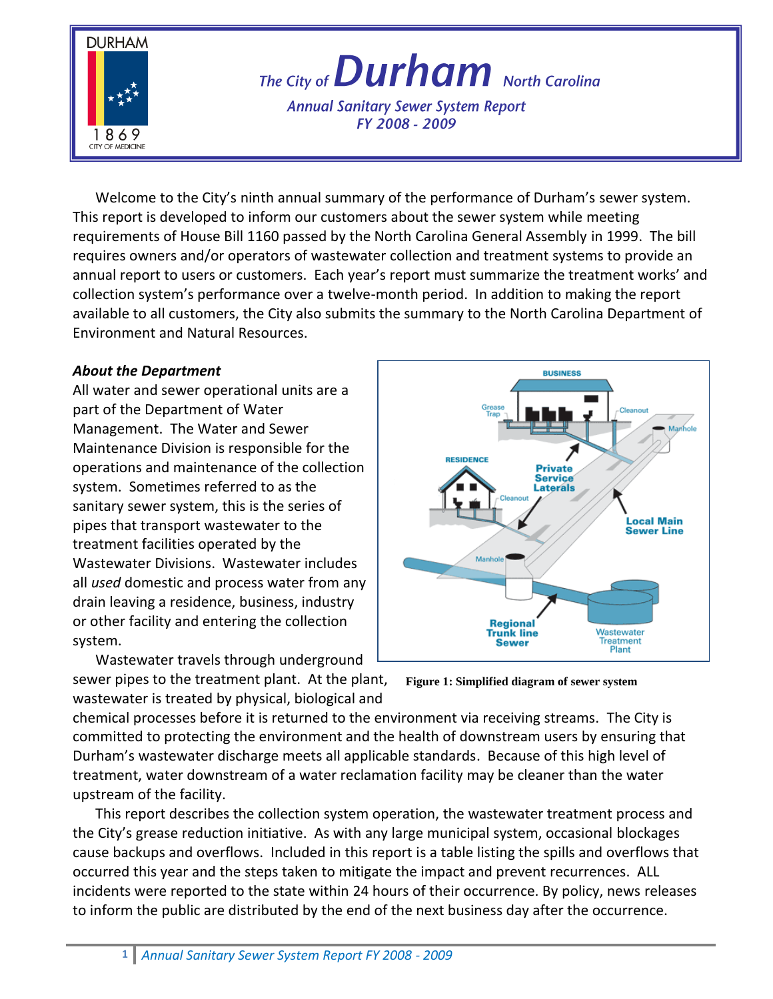

# The City of **Durham** North Carolina

**Annual Sanitary Sewer System Report** FY 2008 - 2009

Welcome to the City's ninth annual summary of the performance of Durham's sewer system. This report is developed to inform our customers about the sewer system while meeting requirements of House Bill 1160 passed by the North Carolina General Assembly in 1999. The bill requires owners and/or operators of wastewater collection and treatment systems to provide an annual report to users or customers. Each year's report must summarize the treatment works' and collection system's performance over a twelve-month period. In addition to making the report available to all customers, the City also submits the summary to the North Carolina Department of Environment and Natural Resources.

#### *About the Department*

All water and sewer operational units are a part of the Department of Water Management. The Water and Sewer Maintenance Division is responsible for the operations and maintenance of the collection system. Sometimes referred to as the sanitary sewer system, this is the series of pipes that transport wastewater to the treatment facilities operated by the Wastewater Divisions. Wastewater includes all *used* domestic and process water from any drain leaving a residence, business, industry or other facility and entering the collection system.

Wastewater travels through underground sewer pipes to the treatment plant. At the plant, wastewater is treated by physical, biological and



**Figure 1: Simplified diagram of sewer system**

chemical processes before it is returned to the environment via receiving streams. The City is committed to protecting the environment and the health of downstream users by ensuring that Durham's wastewater discharge meets all applicable standards. Because of this high level of treatment, water downstream of a water reclamation facility may be cleaner than the water upstream of the facility.

This report describes the collection system operation, the wastewater treatment process and the City's grease reduction initiative. As with any large municipal system, occasional blockages cause backups and overflows. Included in this report is a table listing the spills and overflows that occurred this year and the steps taken to mitigate the impact and prevent recurrences. ALL incidents were reported to the state within 24 hours of their occurrence. By policy, news releases to inform the public are distributed by the end of the next business day after the occurrence.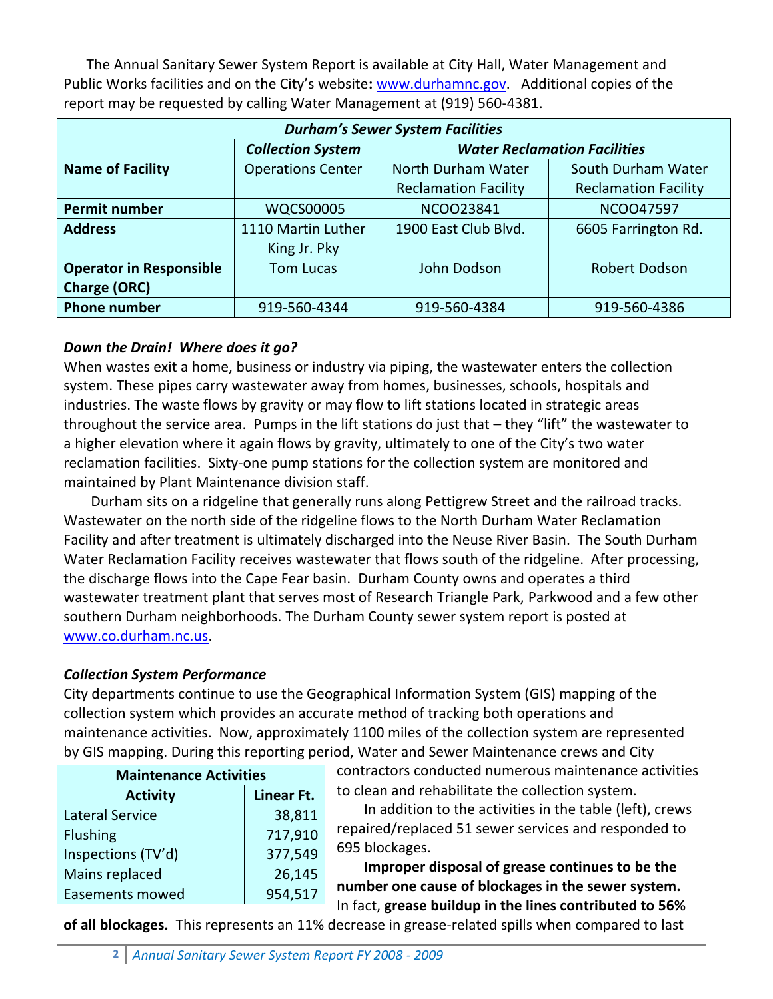The Annual Sanitary Sewer System Report is available at City Hall, Water Management and Public Works facilities and on the City's website**:** [www.durhamnc.gov.](http://www.durhamnc.gov/) Additional copies of the report may be requested by calling Water Management at (919) 560-4381.

| <b>Durham's Sewer System Facilities</b> |                          |                                     |                             |  |
|-----------------------------------------|--------------------------|-------------------------------------|-----------------------------|--|
|                                         | <b>Collection System</b> | <b>Water Reclamation Facilities</b> |                             |  |
| <b>Name of Facility</b>                 | <b>Operations Center</b> | North Durham Water                  | South Durham Water          |  |
|                                         |                          | <b>Reclamation Facility</b>         | <b>Reclamation Facility</b> |  |
| <b>Permit number</b>                    | <b>WQCS00005</b>         | NCOO23841                           | <b>NCOO47597</b>            |  |
| <b>Address</b>                          | 1110 Martin Luther       | 1900 East Club Blvd.                | 6605 Farrington Rd.         |  |
|                                         | King Jr. Pky             |                                     |                             |  |
| <b>Operator in Responsible</b>          | <b>Tom Lucas</b>         | John Dodson                         | Robert Dodson               |  |
| <b>Charge (ORC)</b>                     |                          |                                     |                             |  |
| <b>Phone number</b>                     | 919-560-4344             | 919-560-4384                        | 919-560-4386                |  |

### *Down the Drain! Where does it go?*

When wastes exit a home, business or industry via piping, the wastewater enters the collection system. These pipes carry wastewater away from homes, businesses, schools, hospitals and industries. The waste flows by gravity or may flow to lift stations located in strategic areas throughout the service area. Pumps in the lift stations do just that – they "lift" the wastewater to a higher elevation where it again flows by gravity, ultimately to one of the City's two water reclamation facilities. Sixty-one pump stations for the collection system are monitored and maintained by Plant Maintenance division staff.

Durham sits on a ridgeline that generally runs along Pettigrew Street and the railroad tracks. Wastewater on the north side of the ridgeline flows to the North Durham Water Reclamation Facility and after treatment is ultimately discharged into the Neuse River Basin. The South Durham Water Reclamation Facility receives wastewater that flows south of the ridgeline. After processing, the discharge flows into the Cape Fear basin. Durham County owns and operates a third wastewater treatment plant that serves most of Research Triangle Park, Parkwood and a few other southern Durham neighborhoods. The Durham County sewer system report is posted at [www.co.durham.nc.us.](http://www.co.durham.nc.us/)

## *Collection System Performance*

City departments continue to use the Geographical Information System (GIS) mapping of the collection system which provides an accurate method of tracking both operations and maintenance activities. Now, approximately 1100 miles of the collection system are represented by GIS mapping. During this reporting period, Water and Sewer Maintenance crews and City

| <b>Maintenance Activities</b> |  |  |  |
|-------------------------------|--|--|--|
| Linear Ft.                    |  |  |  |
| 38,811                        |  |  |  |
| 717,910                       |  |  |  |
| 377,549                       |  |  |  |
| 26,145                        |  |  |  |
| 954,517                       |  |  |  |
|                               |  |  |  |

contractors conducted numerous maintenance activities to clean and rehabilitate the collection system.

In addition to the activities in the table (left), crews repaired/replaced 51 sewer services and responded to 695 blockages.

**Improper disposal of grease continues to be the number one cause of blockages in the sewer system.** In fact, **grease buildup in the lines contributed to 56%** 

**of all blockages.** This represents an 11% decrease in grease-related spills when compared to last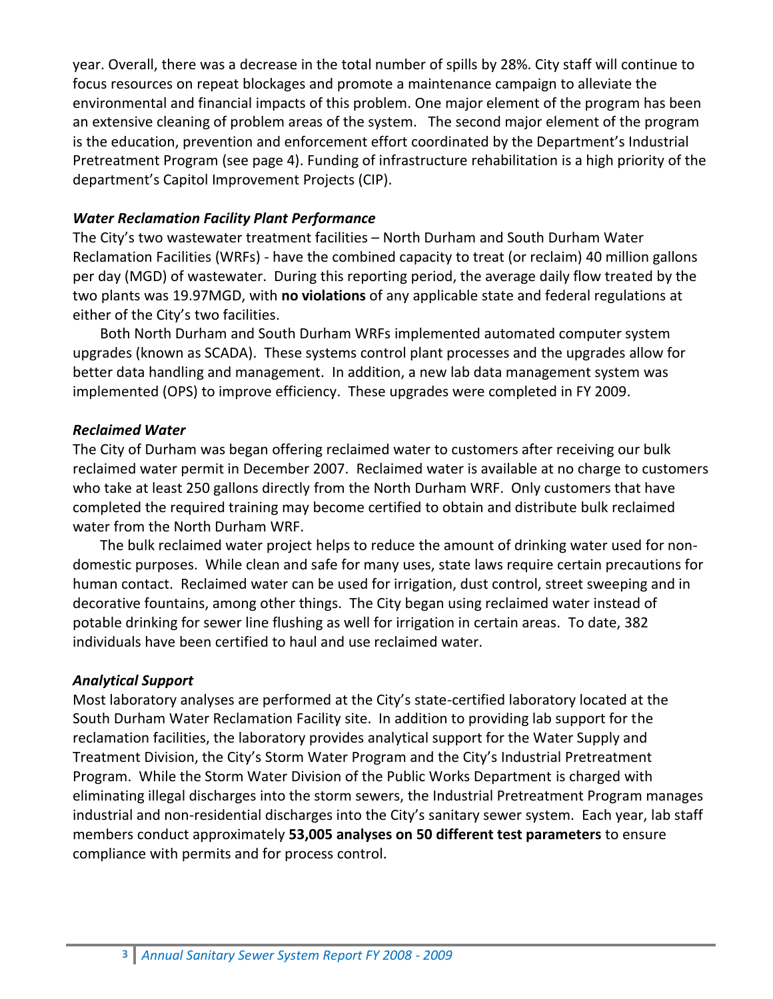year. Overall, there was a decrease in the total number of spills by 28%. City staff will continue to focus resources on repeat blockages and promote a maintenance campaign to alleviate the environmental and financial impacts of this problem. One major element of the program has been an extensive cleaning of problem areas of the system. The second major element of the program is the education, prevention and enforcement effort coordinated by the Department's Industrial Pretreatment Program (see page 4). Funding of infrastructure rehabilitation is a high priority of the department's Capitol Improvement Projects (CIP).

#### *Water Reclamation Facility Plant Performance*

The City's two wastewater treatment facilities – North Durham and South Durham Water Reclamation Facilities (WRFs) - have the combined capacity to treat (or reclaim) 40 million gallons per day (MGD) of wastewater. During this reporting period, the average daily flow treated by the two plants was 19.97MGD, with **no violations** of any applicable state and federal regulations at either of the City's two facilities.

Both North Durham and South Durham WRFs implemented automated computer system upgrades (known as SCADA). These systems control plant processes and the upgrades allow for better data handling and management. In addition, a new lab data management system was implemented (OPS) to improve efficiency. These upgrades were completed in FY 2009.

#### *Reclaimed Water*

The City of Durham was began offering reclaimed water to customers after receiving our bulk reclaimed water permit in December 2007. Reclaimed water is available at no charge to customers who take at least 250 gallons directly from the North Durham WRF. Only customers that have completed the required training may become certified to obtain and distribute bulk reclaimed water from the North Durham WRF.

The bulk reclaimed water project helps to reduce the amount of drinking water used for nondomestic purposes. While clean and safe for many uses, state laws require certain precautions for human contact. Reclaimed water can be used for irrigation, dust control, street sweeping and in decorative fountains, among other things. The City began using reclaimed water instead of potable drinking for sewer line flushing as well for irrigation in certain areas. To date, 382 individuals have been certified to haul and use reclaimed water.

#### *Analytical Support*

Most laboratory analyses are performed at the City's state-certified laboratory located at the South Durham Water Reclamation Facility site. In addition to providing lab support for the reclamation facilities, the laboratory provides analytical support for the Water Supply and Treatment Division, the City's Storm Water Program and the City's Industrial Pretreatment Program. While the Storm Water Division of the Public Works Department is charged with eliminating illegal discharges into the storm sewers, the Industrial Pretreatment Program manages industrial and non-residential discharges into the City's sanitary sewer system. Each year, lab staff members conduct approximately **53,005 analyses on 50 different test parameters** to ensure compliance with permits and for process control.